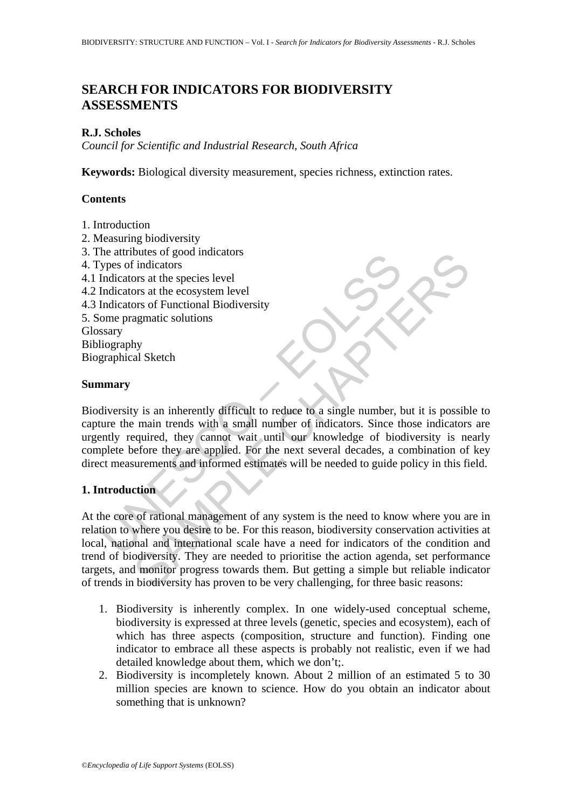# **SEARCH FOR INDICATORS FOR BIODIVERSITY ASSESSMENTS**

### **R.J. Scholes**

*Council for Scientific and Industrial Research, South Africa* 

**Keywords:** Biological diversity measurement, species richness, extinction rates.

## **Contents**

- 1. Introduction
- 2. Measuring biodiversity
- 3. The attributes of good indicators
- 4. Types of indicators
- 4.1 Indicators at the species level
- 4.2 Indicators at the ecosystem level
- 4.3 Indicators of Functional Biodiversity
- 5. Some pragmatic solutions

Glossary

Bibliography Biographical Sketch

#### **Summary**

The authouse of good moteaus<br>
ypes of indicators<br>
Indicators at the species level<br>
Indicators at the secosystem level<br>
Indicators at the secosystem level<br>
Indicators of Functional Biodiversity<br>
seary<br>
graphical Sketch<br> **ma** Biodiversity is an inherently difficult to reduce to a single number, but it is possible to capture the main trends with a small number of indicators. Since those indicators are urgently required, they cannot wait until our knowledge of biodiversity is nearly complete before they are applied. For the next several decades, a combination of key direct measurements and informed estimates will be needed to guide policy in this field.

## **1. Introduction**

butes or good macadors<br>
indicators<br>
ors at the ecocystem level<br>
ors at the ecocystem level<br>
ors at the ecocystem level<br>
ors at the ecocystem level<br>
agamatic solutions<br>
agamatic solutions<br>
agamatic solutions<br>
and Indicators At the core of rational management of any system is the need to know where you are in relation to where you desire to be. For this reason, biodiversity conservation activities at local, national and international scale have a need for indicators of the condition and trend of biodiversity. They are needed to prioritise the action agenda, set performance targets, and monitor progress towards them. But getting a simple but reliable indicator of trends in biodiversity has proven to be very challenging, for three basic reasons:

- 1. Biodiversity is inherently complex. In one widely-used conceptual scheme, biodiversity is expressed at three levels (genetic, species and ecosystem), each of which has three aspects (composition, structure and function). Finding one indicator to embrace all these aspects is probably not realistic, even if we had detailed knowledge about them, which we don't;.
- 2. Biodiversity is incompletely known. About 2 million of an estimated 5 to 30 million species are known to science. How do you obtain an indicator about something that is unknown?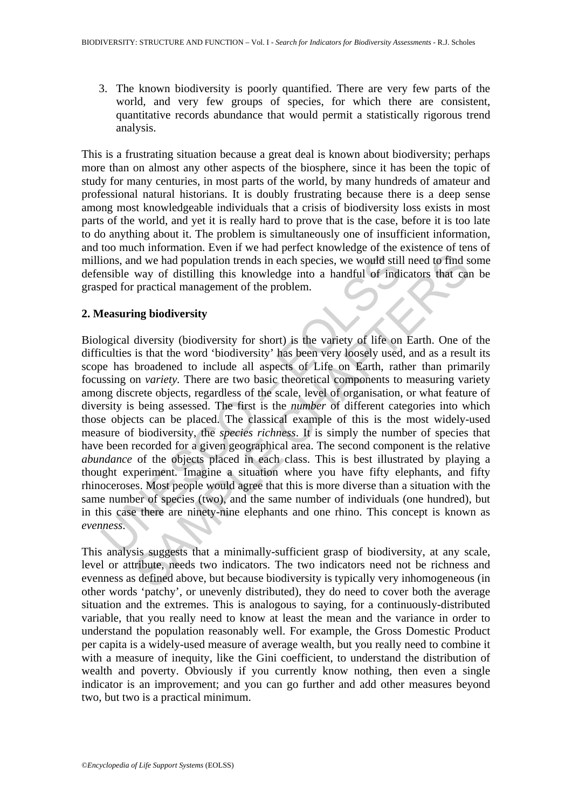3. The known biodiversity is poorly quantified. There are very few parts of the world, and very few groups of species, for which there are consistent, quantitative records abundance that would permit a statistically rigorous trend analysis.

This is a frustrating situation because a great deal is known about biodiversity; perhaps more than on almost any other aspects of the biosphere, since it has been the topic of study for many centuries, in most parts of the world, by many hundreds of amateur and professional natural historians. It is doubly frustrating because there is a deep sense among most knowledgeable individuals that a crisis of biodiversity loss exists in most parts of the world, and yet it is really hard to prove that is the case, before it is too late to do anything about it. The problem is simultaneously one of insufficient information, and too much information. Even if we had perfect knowledge of the existence of tens of millions, and we had population trends in each species, we would still need to find some defensible way of distilling this knowledge into a handful of indicators that can be grasped for practical management of the problem.

# **2. Measuring biodiversity**

ions, and we had population trends in each species, we would still<br>msible way of distilling this knowledge into a handful of indi-<br>ped for practical management of the problem.<br>**Icasuring biodiversity**<br>**Icasuring biodiversi** In the main of the main of the main of the main of the main such species we would still need to find s way of distilling this knowledge into a handful of indicators that car practical management of the problem.<br>
Ing biodiv Biological diversity (biodiversity for short) is the variety of life on Earth. One of the difficulties is that the word 'biodiversity' has been very loosely used, and as a result its scope has broadened to include all aspects of Life on Earth, rather than primarily focussing on *variety.* There are two basic theoretical components to measuring variety among discrete objects, regardless of the scale, level of organisation, or what feature of diversity is being assessed. The first is the *number* of different categories into which those objects can be placed. The classical example of this is the most widely-used measure of biodiversity, the *species richness*. It is simply the number of species that have been recorded for a given geographical area. The second component is the relative *abundance* of the objects placed in each class. This is best illustrated by playing a thought experiment. Imagine a situation where you have fifty elephants, and fifty rhinoceroses. Most people would agree that this is more diverse than a situation with the same number of species (two), and the same number of individuals (one hundred), but in this case there are ninety-nine elephants and one rhino. This concept is known as *evenness*.

This analysis suggests that a minimally-sufficient grasp of biodiversity, at any scale, level or attribute, needs two indicators. The two indicators need not be richness and evenness as defined above, but because biodiversity is typically very inhomogeneous (in other words 'patchy', or unevenly distributed), they do need to cover both the average situation and the extremes. This is analogous to saying, for a continuously-distributed variable, that you really need to know at least the mean and the variance in order to understand the population reasonably well. For example, the Gross Domestic Product per capita is a widely-used measure of average wealth, but you really need to combine it with a measure of inequity, like the Gini coefficient, to understand the distribution of wealth and poverty. Obviously if you currently know nothing, then even a single indicator is an improvement; and you can go further and add other measures beyond two, but two is a practical minimum.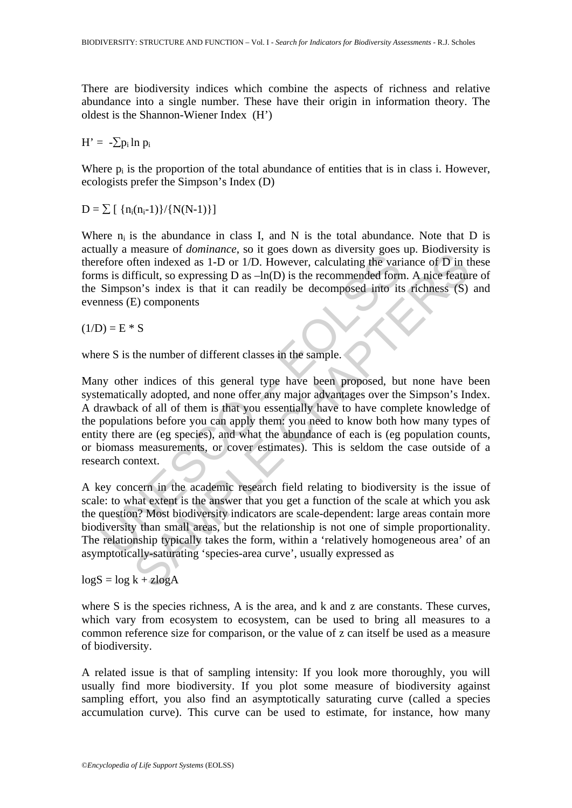There are biodiversity indices which combine the aspects of richness and relative abundance into a single number. These have their origin in information theory. The oldest is the Shannon-Wiener Index (H')

 $H' = -\sum p_i \ln p_i$ 

Where  $p_i$  is the proportion of the total abundance of entities that is in class i. However, ecologists prefer the Simpson's Index (D)

 $D = \sum \left[ \{n_i(n_i-1)\}/\{N(N-1)\}\right]$ 

Where  $n_i$  is the abundance in class I, and N is the total abundance. Note that D is actually a measure of *dominance*, so it goes down as diversity goes up. Biodiversity is therefore often indexed as 1-D or 1/D. However, calculating the variance of D in these forms is difficult, so expressing  $D$  as  $-\ln(D)$  is the recommended form. A nice feature of the Simpson's index is that it can readily be decomposed into its richness (S) and evenness (E) components

 $(1/D) = E * S$ 

where S is the number of different classes in the sample.

Let the metallical technical of the method as 1-D or 1/D. However, calculating the variancy size of the indexed as 1-D or 1/D. However, calculating the variancy size is is difficult, so expressing D as  $-\ln(D)$  is the recom matakare or *abminance*, so respect above as a versually gives up. Docouvers, and the indexed as 1-D or 1/D. However, calculating the variance of  $\overline{D}$  in the firelit, so expressing D as  $-\ln(D)$  is the recommended form. Many other indices of this general type have been proposed, but none have been systematically adopted, and none offer any major advantages over the Simpson's Index. A drawback of all of them is that you essentially have to have complete knowledge of the populations before you can apply them: you need to know both how many types of entity there are (eg species), and what the abundance of each is (eg population counts, or biomass measurements, or cover estimates). This is seldom the case outside of a research context.

A key concern in the academic research field relating to biodiversity is the issue of scale: to what extent is the answer that you get a function of the scale at which you ask the question? Most biodiversity indicators are scale-dependent: large areas contain more biodiversity than small areas, but the relationship is not one of simple proportionality. The relationship typically takes the form, within a 'relatively homogeneous area' of an asymptotically-saturating 'species-area curve', usually expressed as

 $log S = log k + zlog A$ 

where S is the species richness, A is the area, and k and z are constants. These curves, which vary from ecosystem to ecosystem, can be used to bring all measures to a common reference size for comparison, or the value of z can itself be used as a measure of biodiversity.

A related issue is that of sampling intensity: If you look more thoroughly, you will usually find more biodiversity. If you plot some measure of biodiversity against sampling effort, you also find an asymptotically saturating curve (called a species accumulation curve). This curve can be used to estimate, for instance, how many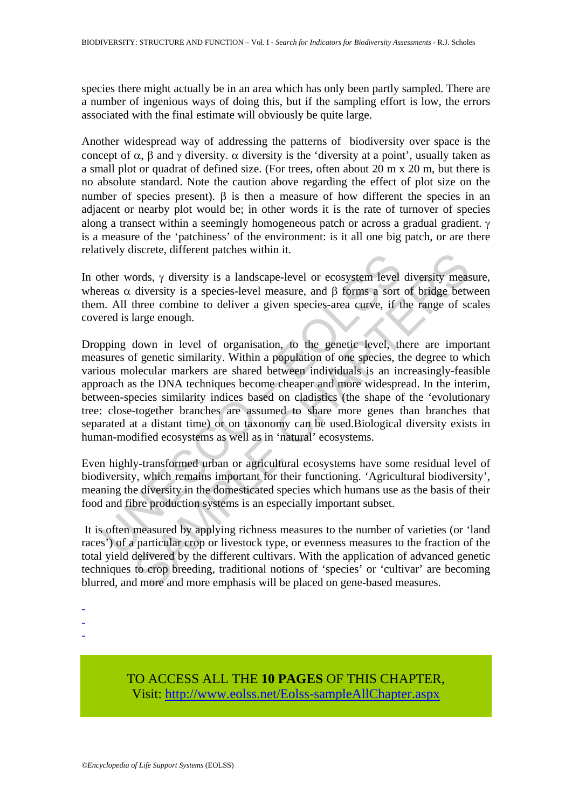species there might actually be in an area which has only been partly sampled. There are a number of ingenious ways of doing this, but if the sampling effort is low, the errors associated with the final estimate will obviously be quite large.

Another widespread way of addressing the patterns of biodiversity over space is the concept of  $\alpha$ ,  $\beta$  and  $\gamma$  diversity.  $\alpha$  diversity is the 'diversity at a point', usually taken as a small plot or quadrat of defined size. (For trees, often about 20 m x 20 m, but there is no absolute standard. Note the caution above regarding the effect of plot size on the number of species present).  $β$  is then a measure of how different the species in an adjacent or nearby plot would be; in other words it is the rate of turnover of species along a transect within a seemingly homogeneous patch or across a gradual gradient. γ is a measure of the 'patchiness' of the environment: is it all one big patch, or are there relatively discrete, different patches within it.

In other words, γ diversity is a landscape-level or ecosystem level diversity measure, whereas  $\alpha$  diversity is a species-level measure, and  $\beta$  forms a sort of bridge between them. All three combine to deliver a given species-area curve, if the range of scales covered is large enough.

The weak of diversity is a landscape-level or ecosystem level<br>reas  $\alpha$  diversity is a species-level measure, and  $\beta$  forms a sort<br>reas  $\alpha$  diversity is a species-level measure, and  $\beta$  forms a sort<br>and a large enough. ords,  $\gamma$  diversity is a landscape-level or ecosystem level diversity meas<br>diversity is a species-level measure, and  $\beta$  forms a sort of bridge between combine to deliver a given species-area curve, if the range of sc<br>l Dropping down in level of organisation, to the genetic level, there are important measures of genetic similarity. Within a population of one species, the degree to which various molecular markers are shared between individuals is an increasingly-feasible approach as the DNA techniques become cheaper and more widespread. In the interim, between-species similarity indices based on cladistics (the shape of the 'evolutionary tree: close-together branches are assumed to share more genes than branches that separated at a distant time) or on taxonomy can be used.Biological diversity exists in human-modified ecosystems as well as in 'natural' ecosystems.

Even highly-transformed urban or agricultural ecosystems have some residual level of biodiversity, which remains important for their functioning. 'Agricultural biodiversity', meaning the diversity in the domesticated species which humans use as the basis of their food and fibre production systems is an especially important subset.

 It is often measured by applying richness measures to the number of varieties (or 'land races') of a particular crop or livestock type, or evenness measures to the fraction of the total yield delivered by the different cultivars. With the application of advanced genetic techniques to crop breeding, traditional notions of 'species' or 'cultivar' are becoming blurred, and more and more emphasis will be placed on gene-based measures.

- -
- -
- -

TO ACCESS ALL THE **10 PAGES** OF THIS CHAPTER, Visit[: http://www.eolss.net/Eolss-sampleAllChapter.aspx](https://www.eolss.net/ebooklib/sc_cart.aspx?File=E4-27-05-02)